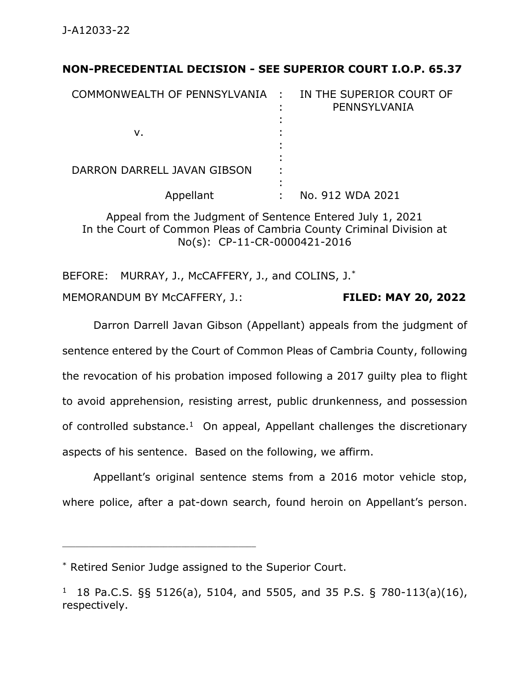## **NON-PRECEDENTIAL DECISION - SEE SUPERIOR COURT I.O.P. 65.37**

| COMMONWEALTH OF PENNSYLVANIA : |   | IN THE SUPERIOR COURT OF<br>PENNSYLVANIA |
|--------------------------------|---|------------------------------------------|
| v.                             |   |                                          |
| DARRON DARRELL JAVAN GIBSON    | ٠ |                                          |
| Appellant                      |   | No. 912 WDA 2021                         |

Appeal from the Judgment of Sentence Entered July 1, 2021 In the Court of Common Pleas of Cambria County Criminal Division at No(s): CP-11-CR-0000421-2016

BEFORE: MURRAY, J., McCAFFERY, J., and COLINS, J.\* MEMORANDUM BY McCAFFERY, J.: **FILED: MAY 20, 2022**

Darron Darrell Javan Gibson (Appellant) appeals from the judgment of sentence entered by the Court of Common Pleas of Cambria County, following the revocation of his probation imposed following a 2017 guilty plea to flight to avoid apprehension, resisting arrest, public drunkenness, and possession of controlled substance.<sup>1</sup> On appeal, Appellant challenges the discretionary aspects of his sentence. Based on the following, we affirm.

Appellant's original sentence stems from a 2016 motor vehicle stop, where police, after a pat-down search, found heroin on Appellant's person.

\* Retired Senior Judge assigned to the Superior Court.

\_\_\_\_\_\_\_\_\_\_\_\_\_\_\_\_\_\_\_\_\_\_\_\_\_\_\_\_\_\_\_\_\_\_\_\_\_\_\_\_\_\_\_\_

<sup>&</sup>lt;sup>1</sup> 18 Pa.C.S. §§ 5126(a), 5104, and 5505, and 35 P.S. § 780-113(a)(16), respectively.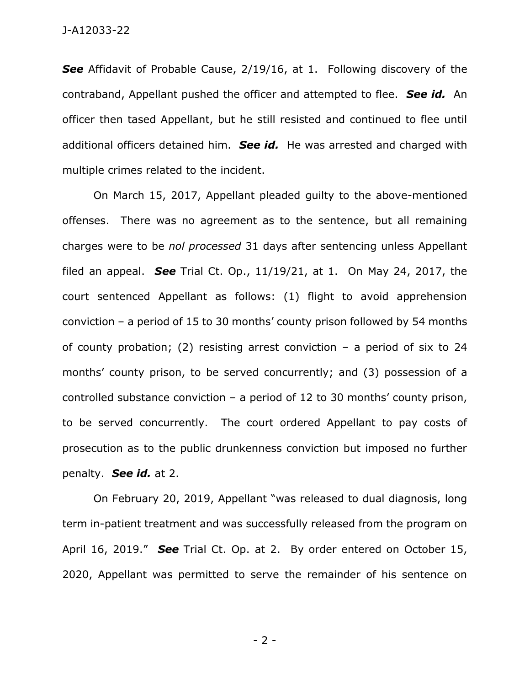J-A12033-22

*See* Affidavit of Probable Cause, 2/19/16, at 1. Following discovery of the contraband, Appellant pushed the officer and attempted to flee. *See id.* An officer then tased Appellant, but he still resisted and continued to flee until additional officers detained him. *See id.* He was arrested and charged with multiple crimes related to the incident.

On March 15, 2017, Appellant pleaded guilty to the above-mentioned offenses. There was no agreement as to the sentence, but all remaining charges were to be *nol processed* 31 days after sentencing unless Appellant filed an appeal. *See* Trial Ct. Op., 11/19/21, at 1. On May 24, 2017, the court sentenced Appellant as follows: (1) flight to avoid apprehension conviction – a period of 15 to 30 months' county prison followed by 54 months of county probation; (2) resisting arrest conviction – a period of six to 24 months' county prison, to be served concurrently; and (3) possession of a controlled substance conviction – a period of 12 to 30 months' county prison, to be served concurrently. The court ordered Appellant to pay costs of prosecution as to the public drunkenness conviction but imposed no further penalty. *See id.* at 2.

On February 20, 2019, Appellant "was released to dual diagnosis, long term in-patient treatment and was successfully released from the program on April 16, 2019." *See* Trial Ct. Op. at 2. By order entered on October 15, 2020, Appellant was permitted to serve the remainder of his sentence on

- 2 -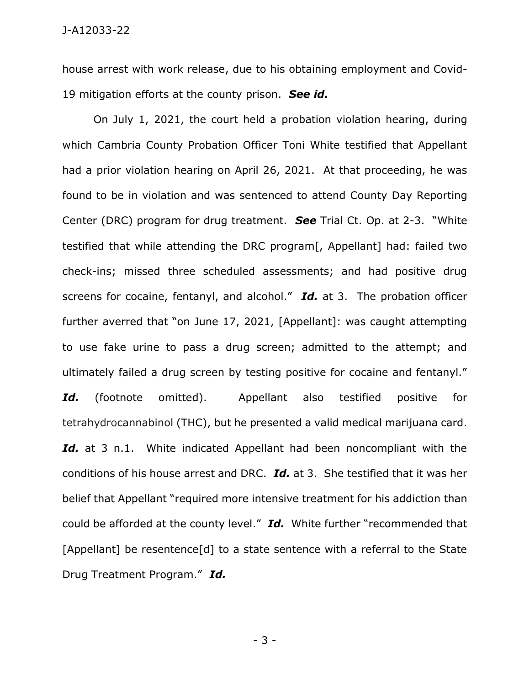house arrest with work release, due to his obtaining employment and Covid-19 mitigation efforts at the county prison. *See id.*

On July 1, 2021, the court held a probation violation hearing, during which Cambria County Probation Officer Toni White testified that Appellant had a prior violation hearing on April 26, 2021. At that proceeding, he was found to be in violation and was sentenced to attend County Day Reporting Center (DRC) program for drug treatment. *See* Trial Ct. Op. at 2-3. "White testified that while attending the DRC program[, Appellant] had: failed two check-ins; missed three scheduled assessments; and had positive drug screens for cocaine, fentanyl, and alcohol." *Id.* at 3. The probation officer further averred that "on June 17, 2021, [Appellant]: was caught attempting to use fake urine to pass a drug screen; admitted to the attempt; and ultimately failed a drug screen by testing positive for cocaine and fentanyl." Id. (footnote omitted). Appellant also testified positive for tetrahydrocannabinol (THC), but he presented a valid medical marijuana card. Id. at 3 n.1. White indicated Appellant had been noncompliant with the conditions of his house arrest and DRC. *Id.* at 3. She testified that it was her belief that Appellant "required more intensive treatment for his addiction than could be afforded at the county level." *Id.* White further "recommended that [Appellant] be resentence[d] to a state sentence with a referral to the State Drug Treatment Program." *Id.*

- 3 -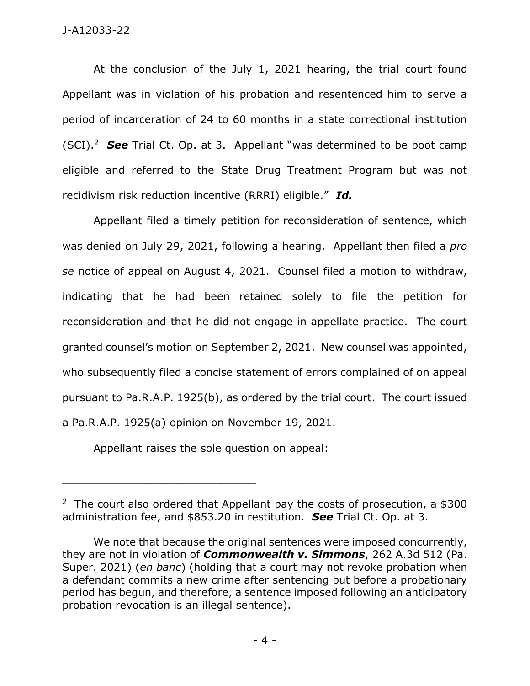## J-A12033-22

At the conclusion of the July 1, 2021 hearing, the trial court found Appellant was in violation of his probation and resentenced him to serve a period of incarceration of 24 to 60 months in a state correctional institution (SCI).<sup>2</sup> *See* Trial Ct. Op. at 3. Appellant "was determined to be boot camp eligible and referred to the State Drug Treatment Program but was not recidivism risk reduction incentive (RRRI) eligible." *Id.*

Appellant filed a timely petition for reconsideration of sentence, which was denied on July 29, 2021, following a hearing. Appellant then filed a *pro se* notice of appeal on August 4, 2021. Counsel filed a motion to withdraw, indicating that he had been retained solely to file the petition for reconsideration and that he did not engage in appellate practice. The court granted counsel's motion on September 2, 2021. New counsel was appointed, who subsequently filed a concise statement of errors complained of on appeal pursuant to Pa.R.A.P. 1925(b), as ordered by the trial court. The court issued a Pa.R.A.P. 1925(a) opinion on November 19, 2021.

Appellant raises the sole question on appeal:

\_\_\_\_\_\_\_\_\_\_\_\_\_\_\_\_\_\_\_\_\_\_\_\_\_\_\_\_\_\_\_\_\_\_\_\_\_\_\_\_\_\_\_\_

<sup>&</sup>lt;sup>2</sup> The court also ordered that Appellant pay the costs of prosecution, a \$300 administration fee, and \$853.20 in restitution. *See* Trial Ct. Op. at 3.

We note that because the original sentences were imposed concurrently, they are not in violation of *Commonwealth v. Simmons*, 262 A.3d 512 (Pa. Super. 2021) (*en banc*) (holding that a court may not revoke probation when a defendant commits a new crime after sentencing but before a probationary period has begun, and therefore, a sentence imposed following an anticipatory probation revocation is an illegal sentence).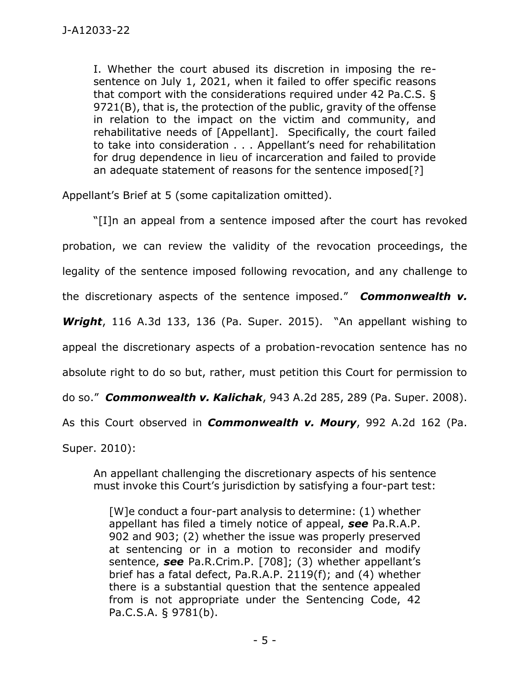I. Whether the court abused its discretion in imposing the resentence on July 1, 2021, when it failed to offer specific reasons that comport with the considerations required under 42 Pa.C.S. § 9721(B), that is, the protection of the public, gravity of the offense in relation to the impact on the victim and community, and rehabilitative needs of [Appellant]. Specifically, the court failed to take into consideration . . . Appellant's need for rehabilitation for drug dependence in lieu of incarceration and failed to provide an adequate statement of reasons for the sentence imposed[?]

Appellant's Brief at 5 (some capitalization omitted).

"[I]n an appeal from a sentence imposed after the court has revoked probation, we can review the validity of the revocation proceedings, the legality of the sentence imposed following revocation, and any challenge to the discretionary aspects of the sentence imposed." *Commonwealth v. Wright*, 116 A.3d 133, 136 (Pa. Super. 2015). "An appellant wishing to appeal the discretionary aspects of a probation-revocation sentence has no absolute right to do so but, rather, must petition this Court for permission to do so." *Commonwealth v. Kalichak*, 943 A.2d 285, 289 (Pa. Super. 2008). As this Court observed in *Commonwealth v. Moury*, 992 A.2d 162 (Pa. Super. 2010):

An appellant challenging the discretionary aspects of his sentence must invoke this Court's jurisdiction by satisfying a four-part test:

[W]e conduct a four-part analysis to determine: (1) whether appellant has filed a timely notice of appeal, *see* Pa.R.A.P. 902 and 903; (2) whether the issue was properly preserved at sentencing or in a motion to reconsider and modify sentence, *see* Pa.R.Crim.P. [708]; (3) whether appellant's brief has a fatal defect, Pa.R.A.P. 2119(f); and (4) whether there is a substantial question that the sentence appealed from is not appropriate under the Sentencing Code, 42 Pa.C.S.A. § 9781(b).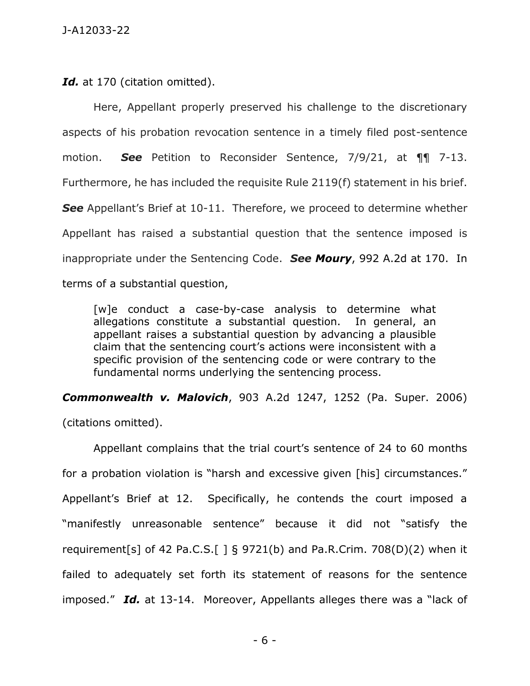Id. at 170 (citation omitted).

Here, Appellant properly preserved his challenge to the discretionary aspects of his probation revocation sentence in a timely filed post-sentence motion. *See* Petition to Reconsider Sentence, 7/9/21, at ¶¶ 7-13. Furthermore, he has included the requisite Rule 2119(f) statement in his brief. *See* Appellant's Brief at 10-11. Therefore, we proceed to determine whether Appellant has raised a substantial question that the sentence imposed is inappropriate under the Sentencing Code. *See Moury*, 992 A.2d at 170. In terms of a substantial question,

[w]e conduct a case-by-case analysis to determine what allegations constitute a substantial question. In general, an appellant raises a substantial question by advancing a plausible claim that the sentencing court's actions were inconsistent with a specific provision of the sentencing code or were contrary to the fundamental norms underlying the sentencing process.

*Commonwealth v. Malovich*, 903 A.2d 1247, 1252 (Pa. Super. 2006)

(citations omitted).

Appellant complains that the trial court's sentence of 24 to 60 months for a probation violation is "harsh and excessive given [his] circumstances." Appellant's Brief at 12. Specifically, he contends the court imposed a "manifestly unreasonable sentence" because it did not "satisfy the requirement[s] of 42 Pa.C.S.[ ] § 9721(b) and Pa.R.Crim. 708(D)(2) when it failed to adequately set forth its statement of reasons for the sentence imposed." *Id.* at 13-14. Moreover, Appellants alleges there was a "lack of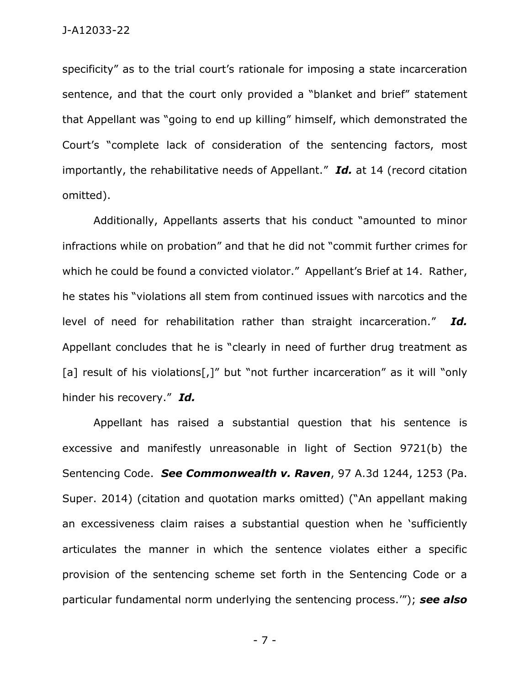specificity" as to the trial court's rationale for imposing a state incarceration sentence, and that the court only provided a "blanket and brief" statement that Appellant was "going to end up killing" himself, which demonstrated the Court's "complete lack of consideration of the sentencing factors, most importantly, the rehabilitative needs of Appellant." *Id.* at 14 (record citation omitted).

Additionally, Appellants asserts that his conduct "amounted to minor infractions while on probation" and that he did not "commit further crimes for which he could be found a convicted violator." Appellant's Brief at 14. Rather, he states his "violations all stem from continued issues with narcotics and the level of need for rehabilitation rather than straight incarceration." *Id.* Appellant concludes that he is "clearly in need of further drug treatment as [a] result of his violations[,]" but "not further incarceration" as it will "only hinder his recovery." *Id.*

Appellant has raised a substantial question that his sentence is excessive and manifestly unreasonable in light of Section 9721(b) the Sentencing Code. *See Commonwealth v. Raven*, 97 A.3d 1244, 1253 (Pa. Super. 2014) (citation and quotation marks omitted) ("An appellant making an excessiveness claim raises a substantial question when he 'sufficiently articulates the manner in which the sentence violates either a specific provision of the sentencing scheme set forth in the Sentencing Code or a particular fundamental norm underlying the sentencing process.'"); *see also*

- 7 -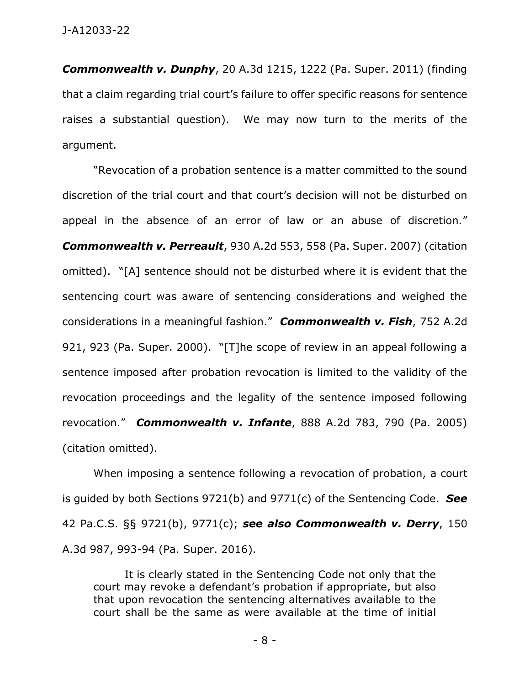*Commonwealth v. Dunphy*, 20 A.3d 1215, 1222 (Pa. Super. 2011) (finding that a claim regarding trial court's failure to offer specific reasons for sentence raises a substantial question). We may now turn to the merits of the argument.

"Revocation of a probation sentence is a matter committed to the sound discretion of the trial court and that court's decision will not be disturbed on appeal in the absence of an error of law or an abuse of discretion." *Commonwealth v. Perreault*, 930 A.2d 553, 558 (Pa. Super. 2007) (citation omitted). "[A] sentence should not be disturbed where it is evident that the sentencing court was aware of sentencing considerations and weighed the considerations in a meaningful fashion." *Commonwealth v. Fish*, 752 A.2d 921, 923 (Pa. Super. 2000). "[T]he scope of review in an appeal following a sentence imposed after probation revocation is limited to the validity of the revocation proceedings and the legality of the sentence imposed following revocation." *Commonwealth v. Infante*, 888 A.2d 783, 790 (Pa. 2005) (citation omitted).

When imposing a sentence following a revocation of probation, a court is guided by both Sections 9721(b) and 9771(c) of the Sentencing Code. *See* 42 Pa.C.S. §§ 9721(b), 9771(c); *see also Commonwealth v. Derry*, 150 A.3d 987, 993-94 (Pa. Super. 2016).

It is clearly stated in the Sentencing Code not only that the court may revoke a defendant's probation if appropriate, but also that upon revocation the sentencing alternatives available to the court shall be the same as were available at the time of initial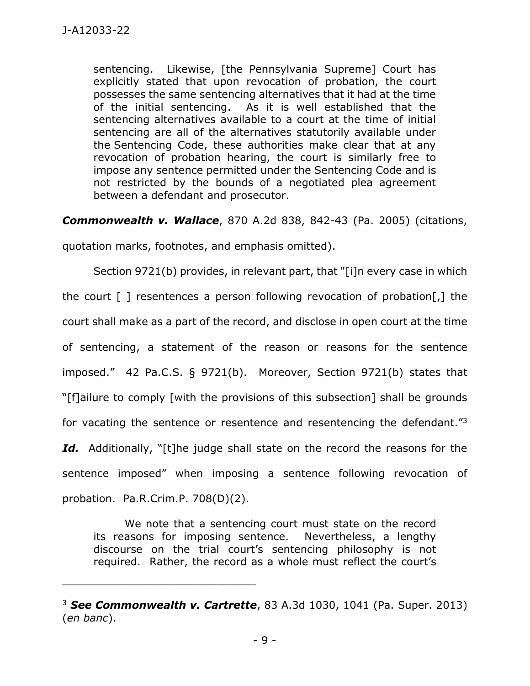sentencing. Likewise, [the Pennsylvania Supreme] Court has explicitly stated that upon revocation of probation, the court possesses the same sentencing alternatives that it had at the time of the initial sentencing. As it is well established that the sentencing alternatives available to a court at the time of initial sentencing are all of the alternatives statutorily available under the Sentencing Code, these authorities make clear that at any revocation of probation hearing, the court is similarly free to impose any sentence permitted under the Sentencing Code and is not restricted by the bounds of a negotiated plea agreement between a defendant and prosecutor.

*Commonwealth v. Wallace*, 870 A.2d 838, 842-43 (Pa. 2005) (citations,

quotation marks, footnotes, and emphasis omitted).

\_\_\_\_\_\_\_\_\_\_\_\_\_\_\_\_\_\_\_\_\_\_\_\_\_\_\_\_\_\_\_\_\_\_\_\_\_\_\_\_\_\_\_\_

Section 9721(b) provides, in relevant part, that "[i]n every case in which the court [ ] resentences a person following revocation of probation[,] the court shall make as a part of the record, and disclose in open court at the time of sentencing, a statement of the reason or reasons for the sentence imposed." 42 Pa.C.S. § 9721(b). Moreover, Section 9721(b) states that "[f]ailure to comply [with the provisions of this subsection] shall be grounds for vacating the sentence or resentence and resentencing the defendant."<sup>3</sup> Id. Additionally, "[t]he judge shall state on the record the reasons for the sentence imposed" when imposing a sentence following revocation of probation. Pa.R.Crim.P. 708(D)(2).

We note that a sentencing court must state on the record its reasons for imposing sentence. Nevertheless, a lengthy discourse on the trial court's sentencing philosophy is not required. Rather, the record as a whole must reflect the court's

<sup>3</sup> *See Commonwealth v. Cartrette*, 83 A.3d 1030, 1041 (Pa. Super. 2013) (*en banc*).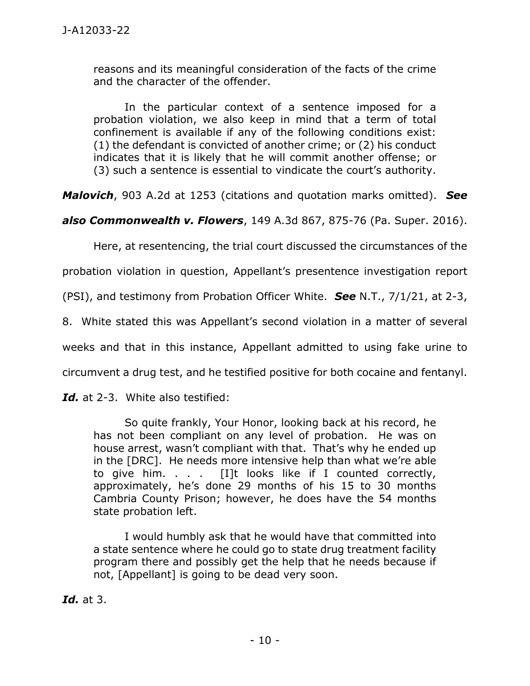reasons and its meaningful consideration of the facts of the crime and the character of the offender.

In the particular context of a sentence imposed for a probation violation, we also keep in mind that a term of total confinement is available if any of the following conditions exist: (1) the defendant is convicted of another crime; or (2) his conduct indicates that it is likely that he will commit another offense; or (3) such a sentence is essential to vindicate the court's authority.

*Malovich*, 903 A.2d at 1253 (citations and quotation marks omitted). *See* 

*also Commonwealth v. Flowers*, 149 A.3d 867, 875-76 (Pa. Super. 2016).

Here, at resentencing, the trial court discussed the circumstances of the

probation violation in question, Appellant's presentence investigation report

(PSI), and testimony from Probation Officer White. *See* N.T., 7/1/21, at 2-3,

8. White stated this was Appellant's second violation in a matter of several

weeks and that in this instance, Appellant admitted to using fake urine to

circumvent a drug test, and he testified positive for both cocaine and fentanyl.

*Id.* at 2-3. White also testified:

So quite frankly, Your Honor, looking back at his record, he has not been compliant on any level of probation. He was on house arrest, wasn't compliant with that. That's why he ended up in the [DRC]. He needs more intensive help than what we're able to give him. . . . [I]t looks like if I counted correctly, approximately, he's done 29 months of his 15 to 30 months Cambria County Prison; however, he does have the 54 months state probation left.

I would humbly ask that he would have that committed into a state sentence where he could go to state drug treatment facility program there and possibly get the help that he needs because if not, [Appellant] is going to be dead very soon.

*Id.* at 3.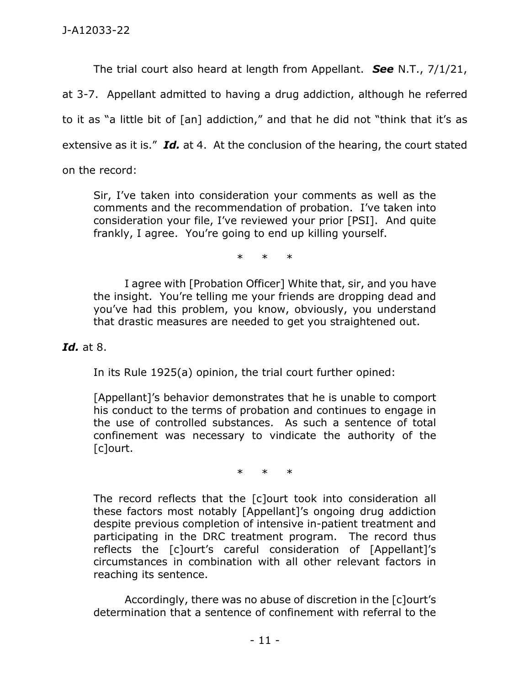The trial court also heard at length from Appellant. *See* N.T., 7/1/21,

at 3-7. Appellant admitted to having a drug addiction, although he referred

to it as "a little bit of [an] addiction," and that he did not "think that it's as

extensive as it is." *Id.* at 4. At the conclusion of the hearing, the court stated

on the record:

Sir, I've taken into consideration your comments as well as the comments and the recommendation of probation. I've taken into consideration your file, I've reviewed your prior [PSI]. And quite frankly, I agree. You're going to end up killing yourself.

\* \* \*

I agree with [Probation Officer] White that, sir, and you have the insight. You're telling me your friends are dropping dead and you've had this problem, you know, obviously, you understand that drastic measures are needed to get you straightened out.

## *Id.* at 8.

In its Rule 1925(a) opinion, the trial court further opined:

[Appellant]'s behavior demonstrates that he is unable to comport his conduct to the terms of probation and continues to engage in the use of controlled substances. As such a sentence of total confinement was necessary to vindicate the authority of the [c]ourt.

\* \* \*

The record reflects that the [c]ourt took into consideration all these factors most notably [Appellant]'s ongoing drug addiction despite previous completion of intensive in-patient treatment and participating in the DRC treatment program. The record thus reflects the [c]ourt's careful consideration of [Appellant]'s circumstances in combination with all other relevant factors in reaching its sentence.

Accordingly, there was no abuse of discretion in the [c]ourt's determination that a sentence of confinement with referral to the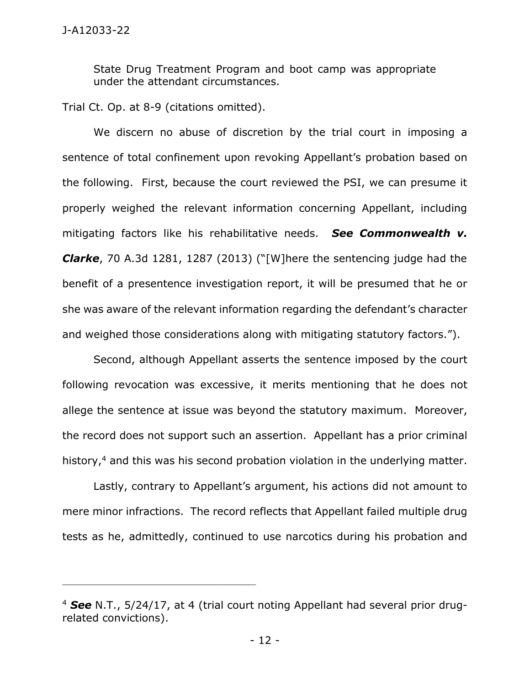State Drug Treatment Program and boot camp was appropriate under the attendant circumstances.

Trial Ct. Op. at 8-9 (citations omitted).

\_\_\_\_\_\_\_\_\_\_\_\_\_\_\_\_\_\_\_\_\_\_\_\_\_\_\_\_\_\_\_\_\_\_\_\_\_\_\_\_\_\_\_\_

We discern no abuse of discretion by the trial court in imposing a sentence of total confinement upon revoking Appellant's probation based on the following. First, because the court reviewed the PSI, we can presume it properly weighed the relevant information concerning Appellant, including mitigating factors like his rehabilitative needs. *See Commonwealth v. Clarke*, 70 A.3d 1281, 1287 (2013) ("[W]here the sentencing judge had the benefit of a presentence investigation report, it will be presumed that he or she was aware of the relevant information regarding the defendant's character and weighed those considerations along with mitigating statutory factors.").

Second, although Appellant asserts the sentence imposed by the court following revocation was excessive, it merits mentioning that he does not allege the sentence at issue was beyond the statutory maximum. Moreover, the record does not support such an assertion. Appellant has a prior criminal history,<sup>4</sup> and this was his second probation violation in the underlying matter.

Lastly, contrary to Appellant's argument, his actions did not amount to mere minor infractions. The record reflects that Appellant failed multiple drug tests as he, admittedly, continued to use narcotics during his probation and

<sup>4</sup> *See* N.T., 5/24/17, at 4 (trial court noting Appellant had several prior drugrelated convictions).